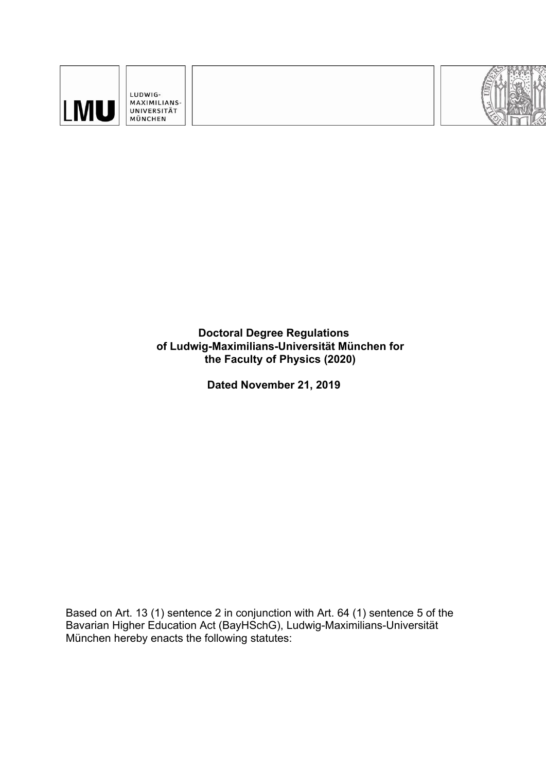

LUDWIG-MAXIMILIANS-UNIVERSITÄT MÜNCHEN



**Doctoral Degree Regulations of Ludwig-Maximilians-Universität München for the Faculty of Physics (2020)**

**Dated November 21, 2019**

Based on Art. 13 (1) sentence 2 in conjunction with Art. 64 (1) sentence 5 of the Bavarian Higher Education Act (BayHSchG), Ludwig-Maximilians-Universität München hereby enacts the following statutes: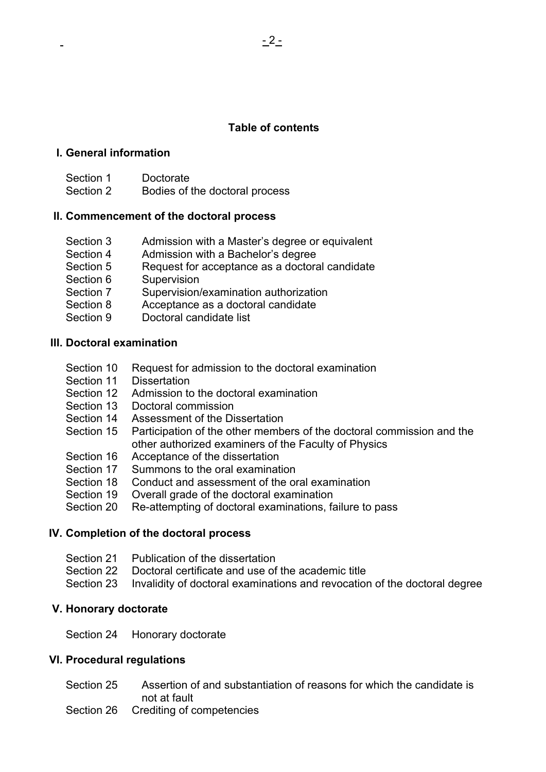# **Table of contents**

### **I. General information**

Section 1 Doctorate Section 2 Bodies of the doctoral process

### **II. Commencement of the doctoral process**

- Section 3 Admission with a Master's degree or equivalent
- Section 4 Admission with a Bachelor's degree
- Section 5 Request for acceptance as a doctoral candidate
- Section 6 Supervision
- Section 7 Supervision/examination authorization
- Section 8 Acceptance as a doctoral candidate
- Section 9 Doctoral candidate list

### **III. Doctoral examination**

- Section 10 Request for admission to the doctoral examination
- Section 11 Dissertation
- Section 12 Admission to the doctoral examination
- Section 13 Doctoral commission
- Section 14 Assessment of the Dissertation
- Section 15 Participation of the other members of the doctoral commission and the other authorized examiners of the Faculty of Physics
- Section 16 Acceptance of the dissertation
- Section 17 Summons to the oral examination
- Section 18 Conduct and assessment of the oral examination
- Section 19 Overall grade of the doctoral examination
- Section 20 Re-attempting of doctoral examinations, failure to pass

### **IV. Completion of the doctoral process**

- Section 21 Publication of the dissertation
- Section 22 Doctoral certificate and use of the academic title
- Section 23 Invalidity of doctoral examinations and revocation of the doctoral degree

#### **V. Honorary doctorate**

Section 24 Honorary doctorate

### **VI. Procedural regulations**

- Section 25 Assertion of and substantiation of reasons for which the candidate is not at fault
- Section 26 Crediting of competencies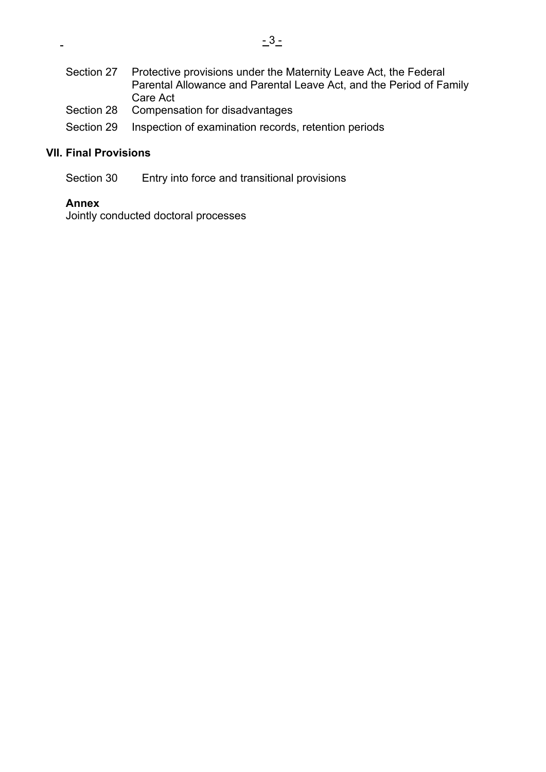| Section 27 | Protective provisions under the Maternity Leave Act, the Federal<br>Parental Allowance and Parental Leave Act, and the Period of Family |  |
|------------|-----------------------------------------------------------------------------------------------------------------------------------------|--|
|            | Care Act                                                                                                                                |  |
|            | Section 28 Compensation for disadvantages                                                                                               |  |

Section 29 Inspection of examination records, retention periods

# **VII. Final Provisions**

Section 30 Entry into force and transitional provisions

### **Annex**

 $\overline{a}$ 

Jointly conducted doctoral processes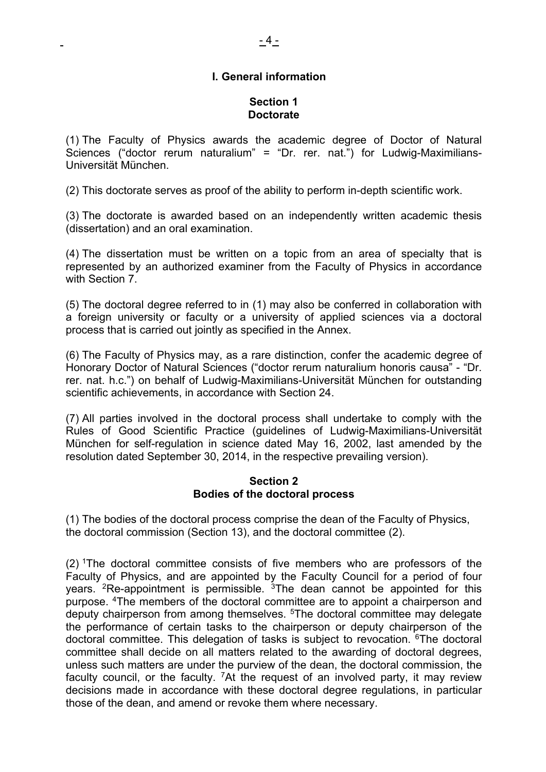### **Section 1 Doctorate**

(1) The Faculty of Physics awards the academic degree of Doctor of Natural Sciences ("doctor rerum naturalium" = "Dr. rer. nat.") for Ludwig-Maximilians-Universität München.

(2) This doctorate serves as proof of the ability to perform in-depth scientific work.

(3) The doctorate is awarded based on an independently written academic thesis (dissertation) and an oral examination.

(4) The dissertation must be written on a topic from an area of specialty that is represented by an authorized examiner from the Faculty of Physics in accordance with Section 7.

(5) The doctoral degree referred to in (1) may also be conferred in collaboration with a foreign university or faculty or a university of applied sciences via a doctoral process that is carried out jointly as specified in the Annex.

(6) The Faculty of Physics may, as a rare distinction, confer the academic degree of Honorary Doctor of Natural Sciences ("doctor rerum naturalium honoris causa" - "Dr. rer. nat. h.c.") on behalf of Ludwig-Maximilians-Universität München for outstanding scientific achievements, in accordance with Section 24.

(7) All parties involved in the doctoral process shall undertake to comply with the Rules of Good Scientific Practice (guidelines of Ludwig-Maximilians-Universität München for self-regulation in science dated May 16, 2002, last amended by the resolution dated September 30, 2014, in the respective prevailing version).

### **Section 2 Bodies of the doctoral process**

(1) The bodies of the doctoral process comprise the dean of the Faculty of Physics, the doctoral commission (Section 13), and the doctoral committee (2).

(2) 1The doctoral committee consists of five members who are professors of the Faculty of Physics, and are appointed by the Faculty Council for a period of four years.  ${}^{2}$ Re-appointment is permissible.  ${}^{3}$ The dean cannot be appointed for this purpose. 4The members of the doctoral committee are to appoint a chairperson and deputy chairperson from among themselves. <sup>5</sup>The doctoral committee may delegate the performance of certain tasks to the chairperson or deputy chairperson of the doctoral committee. This delegation of tasks is subject to revocation. 6The doctoral committee shall decide on all matters related to the awarding of doctoral degrees, unless such matters are under the purview of the dean, the doctoral commission, the faculty council, or the faculty. <sup>7</sup>At the request of an involved party, it may review decisions made in accordance with these doctoral degree regulations, in particular those of the dean, and amend or revoke them where necessary.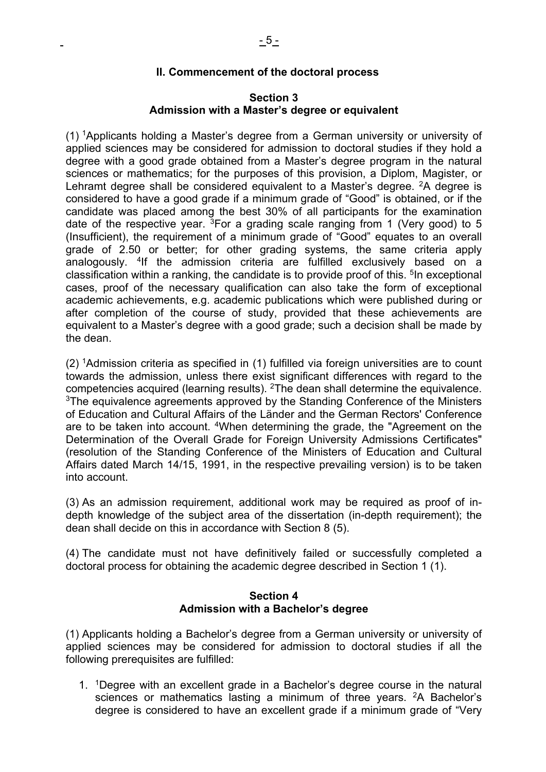#### **II. Commencement of the doctoral process**

#### **Section 3 Admission with a Master's degree or equivalent**

(1) 1Applicants holding a Master's degree from a German university or university of applied sciences may be considered for admission to doctoral studies if they hold a degree with a good grade obtained from a Master's degree program in the natural sciences or mathematics; for the purposes of this provision, a Diplom, Magister, or Lehramt degree shall be considered equivalent to a Master's degree.  $2A$  degree is considered to have a good grade if a minimum grade of "Good" is obtained, or if the candidate was placed among the best 30% of all participants for the examination date of the respective year.  ${}^{3}$ For a grading scale ranging from 1 (Very good) to 5 (Insufficient), the requirement of a minimum grade of "Good" equates to an overall grade of 2.50 or better; for other grading systems, the same criteria apply analogously. 4If the admission criteria are fulfilled exclusively based on a classification within a ranking, the candidate is to provide proof of this. <sup>5</sup>In exceptional cases, proof of the necessary qualification can also take the form of exceptional academic achievements, e.g. academic publications which were published during or after completion of the course of study, provided that these achievements are equivalent to a Master's degree with a good grade; such a decision shall be made by the dean.

(2) 1Admission criteria as specified in (1) fulfilled via foreign universities are to count towards the admission, unless there exist significant differences with regard to the competencies acquired (learning results). 2The dean shall determine the equivalence. <sup>3</sup>The equivalence agreements approved by the Standing Conference of the Ministers of Education and Cultural Affairs of the Länder and the German Rectors' Conference are to be taken into account. 4When determining the grade, the "Agreement on the Determination of the Overall Grade for Foreign University Admissions Certificates" (resolution of the Standing Conference of the Ministers of Education and Cultural Affairs dated March 14/15, 1991, in the respective prevailing version) is to be taken into account.

(3) As an admission requirement, additional work may be required as proof of indepth knowledge of the subject area of the dissertation (in-depth requirement); the dean shall decide on this in accordance with Section 8 (5).

(4) The candidate must not have definitively failed or successfully completed a doctoral process for obtaining the academic degree described in Section 1 (1).

#### **Section 4 Admission with a Bachelor's degree**

(1) Applicants holding a Bachelor's degree from a German university or university of applied sciences may be considered for admission to doctoral studies if all the following prerequisites are fulfilled:

1. 1Degree with an excellent grade in a Bachelor's degree course in the natural sciences or mathematics lasting a minimum of three years. <sup>2</sup>A Bachelor's degree is considered to have an excellent grade if a minimum grade of "Very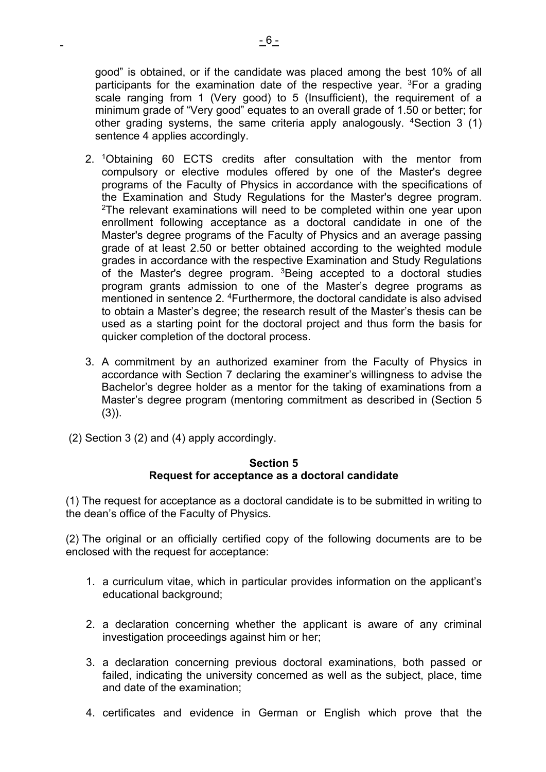good" is obtained, or if the candidate was placed among the best 10% of all participants for the examination date of the respective year.  ${}^{3}$  For a grading scale ranging from 1 (Very good) to 5 (Insufficient), the requirement of a minimum grade of "Very good" equates to an overall grade of 1.50 or better; for other grading systems, the same criteria apply analogously. <sup>4</sup>Section 3 (1) sentence 4 applies accordingly.

- 2. 1Obtaining 60 ECTS credits after consultation with the mentor from compulsory or elective modules offered by one of the Master's degree programs of the Faculty of Physics in accordance with the specifications of the Examination and Study Regulations for the Master's degree program. <sup>2</sup>The relevant examinations will need to be completed within one year upon enrollment following acceptance as a doctoral candidate in one of the Master's degree programs of the Faculty of Physics and an average passing grade of at least 2.50 or better obtained according to the weighted module grades in accordance with the respective Examination and Study Regulations of the Master's degree program. <sup>3</sup>Being accepted to a doctoral studies program grants admission to one of the Master's degree programs as mentioned in sentence 2. <sup>4</sup>Furthermore, the doctoral candidate is also advised to obtain a Master's degree; the research result of the Master's thesis can be used as a starting point for the doctoral project and thus form the basis for quicker completion of the doctoral process.
- 3. A commitment by an authorized examiner from the Faculty of Physics in accordance with Section 7 declaring the examiner's willingness to advise the Bachelor's degree holder as a mentor for the taking of examinations from a Master's degree program (mentoring commitment as described in (Section 5  $(3)$ ).
- (2) Section 3 (2) and (4) apply accordingly.

### **Section 5 Request for acceptance as a doctoral candidate**

(1) The request for acceptance as a doctoral candidate is to be submitted in writing to the dean's office of the Faculty of Physics.

(2) The original or an officially certified copy of the following documents are to be enclosed with the request for acceptance:

- 1. a curriculum vitae, which in particular provides information on the applicant's educational background;
- 2. a declaration concerning whether the applicant is aware of any criminal investigation proceedings against him or her;
- 3. a declaration concerning previous doctoral examinations, both passed or failed, indicating the university concerned as well as the subject, place, time and date of the examination;
- 4. certificates and evidence in German or English which prove that the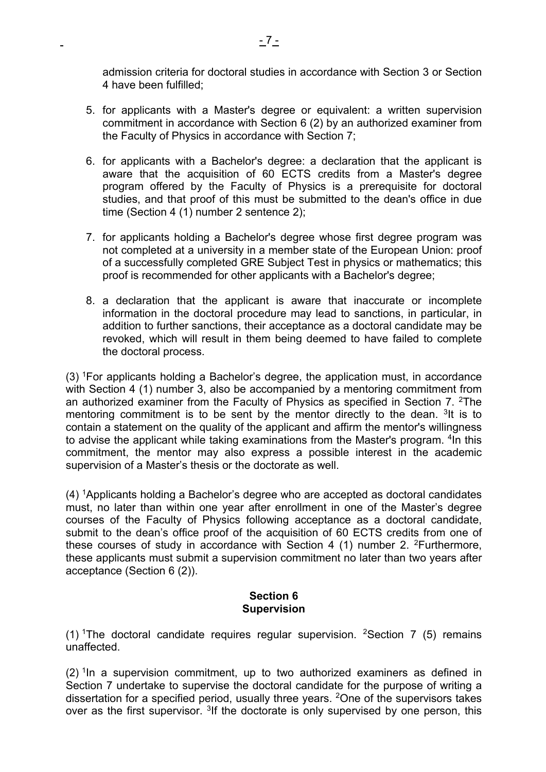admission criteria for doctoral studies in accordance with Section 3 or Section 4 have been fulfilled;

- 5. for applicants with a Master's degree or equivalent: a written supervision commitment in accordance with Section 6 (2) by an authorized examiner from the Faculty of Physics in accordance with Section 7;
- 6. for applicants with a Bachelor's degree: a declaration that the applicant is aware that the acquisition of 60 ECTS credits from a Master's degree program offered by the Faculty of Physics is a prerequisite for doctoral studies, and that proof of this must be submitted to the dean's office in due time (Section 4 (1) number 2 sentence 2);
- 7. for applicants holding a Bachelor's degree whose first degree program was not completed at a university in a member state of the European Union: proof of a successfully completed GRE Subject Test in physics or mathematics; this proof is recommended for other applicants with a Bachelor's degree;
- 8. a declaration that the applicant is aware that inaccurate or incomplete information in the doctoral procedure may lead to sanctions, in particular, in addition to further sanctions, their acceptance as a doctoral candidate may be revoked, which will result in them being deemed to have failed to complete the doctoral process.

 $(3)$  <sup>1</sup>For applicants holding a Bachelor's degree, the application must, in accordance with Section 4 (1) number 3, also be accompanied by a mentoring commitment from an authorized examiner from the Faculty of Physics as specified in Section 7.  $2$ The mentoring commitment is to be sent by the mentor directly to the dean. <sup>3</sup>It is to contain a statement on the quality of the applicant and affirm the mentor's willingness to advise the applicant while taking examinations from the Master's program. <sup>4</sup>In this commitment, the mentor may also express a possible interest in the academic supervision of a Master's thesis or the doctorate as well.

(4) 1Applicants holding a Bachelor's degree who are accepted as doctoral candidates must, no later than within one year after enrollment in one of the Master's degree courses of the Faculty of Physics following acceptance as a doctoral candidate, submit to the dean's office proof of the acquisition of 60 ECTS credits from one of these courses of study in accordance with Section 4 (1) number 2. 2Furthermore, these applicants must submit a supervision commitment no later than two years after acceptance (Section 6 (2)).

# **Section 6 Supervision**

(1) <sup>1</sup>The doctoral candidate requires regular supervision. <sup>2</sup>Section 7 (5) remains unaffected.

 $(2)$ <sup>1</sup>In a supervision commitment, up to two authorized examiners as defined in Section 7 undertake to supervise the doctoral candidate for the purpose of writing a dissertation for a specified period, usually three years. 2One of the supervisors takes over as the first supervisor. <sup>3</sup>If the doctorate is only supervised by one person, this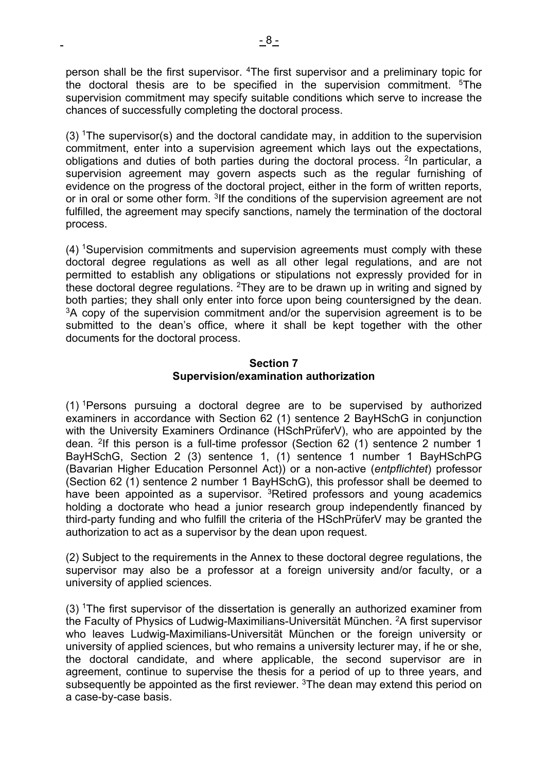person shall be the first supervisor. 4The first supervisor and a preliminary topic for the doctoral thesis are to be specified in the supervision commitment. <sup>5</sup>The supervision commitment may specify suitable conditions which serve to increase the chances of successfully completing the doctoral process.

(3)  $T$ he supervisor(s) and the doctoral candidate may, in addition to the supervision commitment, enter into a supervision agreement which lays out the expectations, obligations and duties of both parties during the doctoral process. 2In particular, a supervision agreement may govern aspects such as the regular furnishing of evidence on the progress of the doctoral project, either in the form of written reports, or in oral or some other form. <sup>3</sup>If the conditions of the supervision agreement are not fulfilled, the agreement may specify sanctions, namely the termination of the doctoral process.

(4) 1Supervision commitments and supervision agreements must comply with these doctoral degree regulations as well as all other legal regulations, and are not permitted to establish any obligations or stipulations not expressly provided for in these doctoral degree regulations. <sup>2</sup>They are to be drawn up in writing and signed by both parties; they shall only enter into force upon being countersigned by the dean.  $3A$  copy of the supervision commitment and/or the supervision agreement is to be submitted to the dean's office, where it shall be kept together with the other documents for the doctoral process.

### **Section 7 Supervision/examination authorization**

(1) 1Persons pursuing a doctoral degree are to be supervised by authorized examiners in accordance with Section 62 (1) sentence 2 BayHSchG in conjunction with the University Examiners Ordinance (HSchPrüferV), who are appointed by the dean. 2If this person is a full-time professor (Section 62 (1) sentence 2 number 1 BayHSchG, Section 2 (3) sentence 1, (1) sentence 1 number 1 BayHSchPG (Bavarian Higher Education Personnel Act)) or a non-active (*entpflichtet*) professor (Section 62 (1) sentence 2 number 1 BayHSchG), this professor shall be deemed to have been appointed as a supervisor. <sup>3</sup>Retired professors and young academics holding a doctorate who head a junior research group independently financed by third-party funding and who fulfill the criteria of the HSchPrüferV may be granted the authorization to act as a supervisor by the dean upon request.

(2) Subject to the requirements in the Annex to these doctoral degree regulations, the supervisor may also be a professor at a foreign university and/or faculty, or a university of applied sciences.

(3) 1The first supervisor of the dissertation is generally an authorized examiner from the Faculty of Physics of Ludwig-Maximilians-Universität München. 2A first supervisor who leaves Ludwig-Maximilians-Universität München or the foreign university or university of applied sciences, but who remains a university lecturer may, if he or she, the doctoral candidate, and where applicable, the second supervisor are in agreement, continue to supervise the thesis for a period of up to three years, and subsequently be appointed as the first reviewer. <sup>3</sup>The dean may extend this period on a case-by-case basis.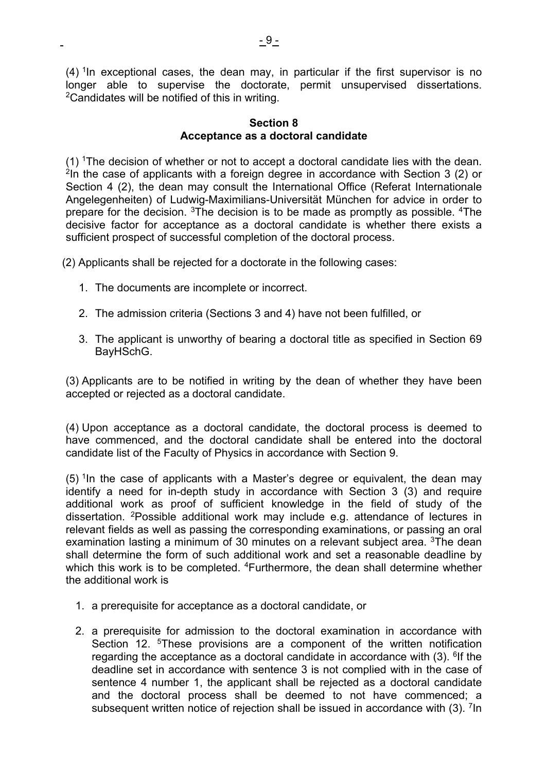$(4)$ <sup>1</sup>In exceptional cases, the dean may, in particular if the first supervisor is no longer able to supervise the doctorate, permit unsupervised dissertations. 2Candidates will be notified of this in writing.

### **Section 8 Acceptance as a doctoral candidate**

 $(1)$  The decision of whether or not to accept a doctoral candidate lies with the dean. <sup>2</sup>In the case of applicants with a foreign degree in accordance with Section 3 (2) or Section 4 (2), the dean may consult the International Office (Referat Internationale Angelegenheiten) of Ludwig-Maximilians-Universität München for advice in order to prepare for the decision. 3The decision is to be made as promptly as possible. 4The decisive factor for acceptance as a doctoral candidate is whether there exists a sufficient prospect of successful completion of the doctoral process.

(2) Applicants shall be rejected for a doctorate in the following cases:

- 1. The documents are incomplete or incorrect.
- 2. The admission criteria (Sections 3 and 4) have not been fulfilled, or
- 3. The applicant is unworthy of bearing a doctoral title as specified in Section 69 BayHSchG.

(3) Applicants are to be notified in writing by the dean of whether they have been accepted or rejected as a doctoral candidate.

(4) Upon acceptance as a doctoral candidate, the doctoral process is deemed to have commenced, and the doctoral candidate shall be entered into the doctoral candidate list of the Faculty of Physics in accordance with Section 9.

 $(5)$  <sup>1</sup>In the case of applicants with a Master's degree or equivalent, the dean may identify a need for in-depth study in accordance with Section 3 (3) and require additional work as proof of sufficient knowledge in the field of study of the dissertation. 2Possible additional work may include e.g. attendance of lectures in relevant fields as well as passing the corresponding examinations, or passing an oral examination lasting a minimum of 30 minutes on a relevant subject area. <sup>3</sup>The dean shall determine the form of such additional work and set a reasonable deadline by which this work is to be completed. <sup>4</sup>Furthermore, the dean shall determine whether the additional work is

- 1. a prerequisite for acceptance as a doctoral candidate, or
- 2. a prerequisite for admission to the doctoral examination in accordance with Section 12. <sup>5</sup>These provisions are a component of the written notification regarding the acceptance as a doctoral candidate in accordance with  $(3)$ . <sup>6</sup>If the deadline set in accordance with sentence 3 is not complied with in the case of sentence 4 number 1, the applicant shall be rejected as a doctoral candidate and the doctoral process shall be deemed to not have commenced; a subsequent written notice of rejection shall be issued in accordance with (3). <sup>7</sup>In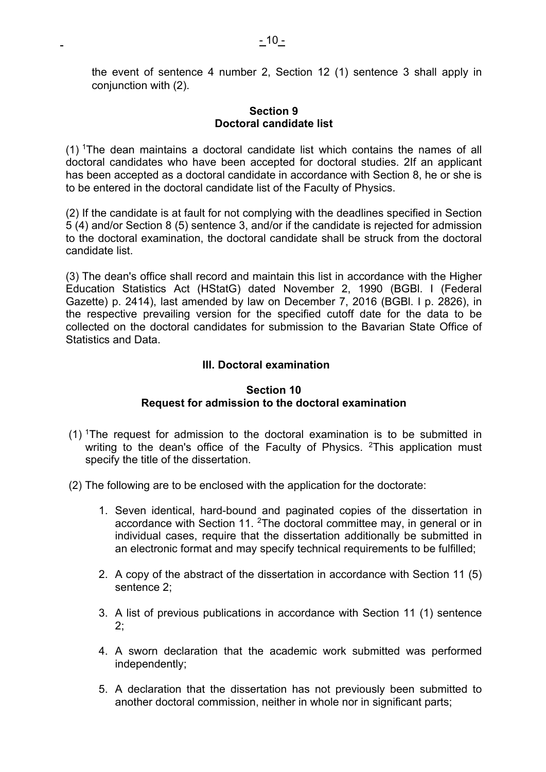the event of sentence 4 number 2, Section 12 (1) sentence 3 shall apply in conjunction with (2).

### **Section 9 Doctoral candidate list**

(1) 1The dean maintains a doctoral candidate list which contains the names of all doctoral candidates who have been accepted for doctoral studies. 2If an applicant has been accepted as a doctoral candidate in accordance with Section 8, he or she is to be entered in the doctoral candidate list of the Faculty of Physics.

(2) If the candidate is at fault for not complying with the deadlines specified in Section 5 (4) and/or Section 8 (5) sentence 3, and/or if the candidate is rejected for admission to the doctoral examination, the doctoral candidate shall be struck from the doctoral candidate list.

(3) The dean's office shall record and maintain this list in accordance with the Higher Education Statistics Act (HStatG) dated November 2, 1990 (BGBl. I (Federal Gazette) p. 2414), last amended by law on December 7, 2016 (BGBl. I p. 2826), in the respective prevailing version for the specified cutoff date for the data to be collected on the doctoral candidates for submission to the Bavarian State Office of Statistics and Data.

# **III. Doctoral examination**

### **Section 10 Request for admission to the doctoral examination**

- (1) 1The request for admission to the doctoral examination is to be submitted in writing to the dean's office of the Faculty of Physics.  $2$ This application must specify the title of the dissertation.
- (2) The following are to be enclosed with the application for the doctorate:
	- 1. Seven identical, hard-bound and paginated copies of the dissertation in accordance with Section 11. 2The doctoral committee may, in general or in individual cases, require that the dissertation additionally be submitted in an electronic format and may specify technical requirements to be fulfilled;
	- 2. A copy of the abstract of the dissertation in accordance with Section 11 (5) sentence 2;
	- 3. A list of previous publications in accordance with Section 11 (1) sentence  $2^{\cdot}$
	- 4. A sworn declaration that the academic work submitted was performed independently;
	- 5. A declaration that the dissertation has not previously been submitted to another doctoral commission, neither in whole nor in significant parts;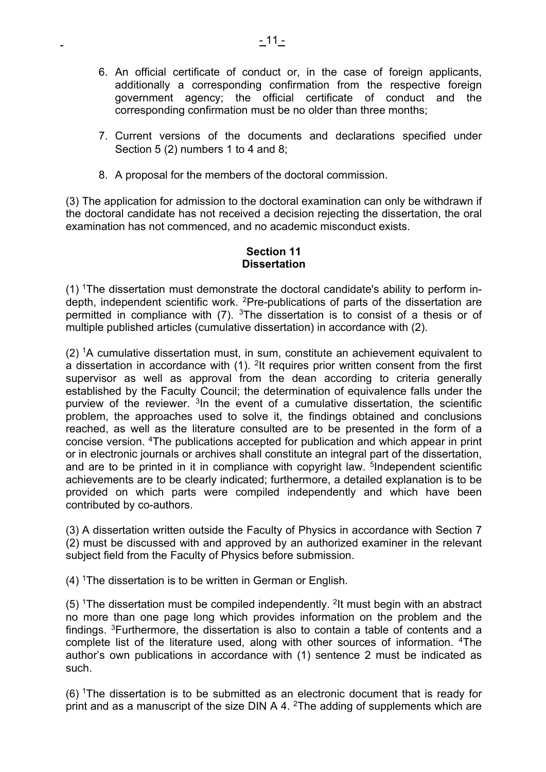- 6. An official certificate of conduct or, in the case of foreign applicants, additionally a corresponding confirmation from the respective foreign government agency; the official certificate of conduct and the corresponding confirmation must be no older than three months;
- 7. Current versions of the documents and declarations specified under Section 5 (2) numbers 1 to 4 and 8;
- 8. A proposal for the members of the doctoral commission.

(3) The application for admission to the doctoral examination can only be withdrawn if the doctoral candidate has not received a decision rejecting the dissertation, the oral examination has not commenced, and no academic misconduct exists.

### **Section 11 Dissertation**

(1) 1The dissertation must demonstrate the doctoral candidate's ability to perform indepth, independent scientific work. <sup>2</sup>Pre-publications of parts of the dissertation are permitted in compliance with (7). 3The dissertation is to consist of a thesis or of multiple published articles (cumulative dissertation) in accordance with (2).

 $(2)$  <sup>1</sup>A cumulative dissertation must, in sum, constitute an achievement equivalent to a dissertation in accordance with  $(1)$ . <sup>2</sup>It requires prior written consent from the first supervisor as well as approval from the dean according to criteria generally established by the Faculty Council; the determination of equivalence falls under the purview of the reviewer.  $3\text{ln}$  the event of a cumulative dissertation, the scientific problem, the approaches used to solve it, the findings obtained and conclusions reached, as well as the literature consulted are to be presented in the form of a concise version. 4The publications accepted for publication and which appear in print or in electronic journals or archives shall constitute an integral part of the dissertation, and are to be printed in it in compliance with copyright law. <sup>5</sup>Independent scientific achievements are to be clearly indicated; furthermore, a detailed explanation is to be provided on which parts were compiled independently and which have been contributed by co-authors.

(3) A dissertation written outside the Faculty of Physics in accordance with Section 7 (2) must be discussed with and approved by an authorized examiner in the relevant subject field from the Faculty of Physics before submission.

 $(4)$  <sup>1</sup>The dissertation is to be written in German or English.

 $(5)$  <sup>1</sup>The dissertation must be compiled independently. <sup>2</sup>It must begin with an abstract no more than one page long which provides information on the problem and the findings. 3Furthermore, the dissertation is also to contain a table of contents and a complete list of the literature used, along with other sources of information. 4The author's own publications in accordance with (1) sentence 2 must be indicated as such.

(6) 1The dissertation is to be submitted as an electronic document that is ready for print and as a manuscript of the size DIN A 4. <sup>2</sup>The adding of supplements which are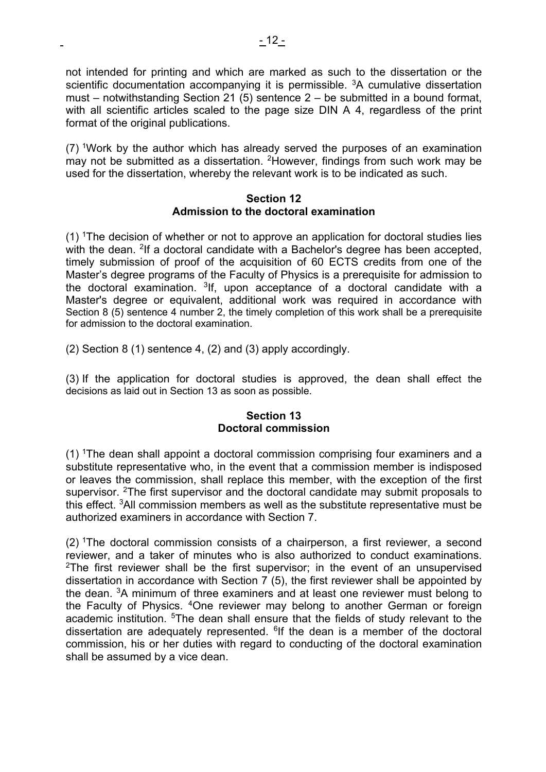not intended for printing and which are marked as such to the dissertation or the scientific documentation accompanying it is permissible. <sup>3</sup>A cumulative dissertation must – notwithstanding Section 21 (5) sentence  $2 - b$ e submitted in a bound format, with all scientific articles scaled to the page size DIN A 4, regardless of the print format of the original publications.

(7) 1Work by the author which has already served the purposes of an examination may not be submitted as a dissertation. <sup>2</sup>However, findings from such work may be used for the dissertation, whereby the relevant work is to be indicated as such.

#### **Section 12 Admission to the doctoral examination**

(1) 1The decision of whether or not to approve an application for doctoral studies lies with the dean. <sup>2</sup>If a doctoral candidate with a Bachelor's degree has been accepted, timely submission of proof of the acquisition of 60 ECTS credits from one of the Master's degree programs of the Faculty of Physics is a prerequisite for admission to the doctoral examination.  $3$ If, upon acceptance of a doctoral candidate with a Master's degree or equivalent, additional work was required in accordance with Section 8 (5) sentence 4 number 2, the timely completion of this work shall be a prerequisite for admission to the doctoral examination.

(2) Section 8 (1) sentence 4, (2) and (3) apply accordingly.

(3) If the application for doctoral studies is approved, the dean shall effect the decisions as laid out in Section 13 as soon as possible.

# **Section 13 Doctoral commission**

(1) 1The dean shall appoint a doctoral commission comprising four examiners and a substitute representative who, in the event that a commission member is indisposed or leaves the commission, shall replace this member, with the exception of the first supervisor. <sup>2</sup>The first supervisor and the doctoral candidate may submit proposals to this effect. 3All commission members as well as the substitute representative must be authorized examiners in accordance with Section 7.

 $(2)$  The doctoral commission consists of a chairperson, a first reviewer, a second reviewer, and a taker of minutes who is also authorized to conduct examinations. <sup>2</sup>The first reviewer shall be the first supervisor; in the event of an unsupervised dissertation in accordance with Section 7 (5), the first reviewer shall be appointed by the dean. 3A minimum of three examiners and at least one reviewer must belong to the Faculty of Physics. 4One reviewer may belong to another German or foreign academic institution. <sup>5</sup>The dean shall ensure that the fields of study relevant to the dissertation are adequately represented. <sup>6</sup>If the dean is a member of the doctoral commission, his or her duties with regard to conducting of the doctoral examination shall be assumed by a vice dean.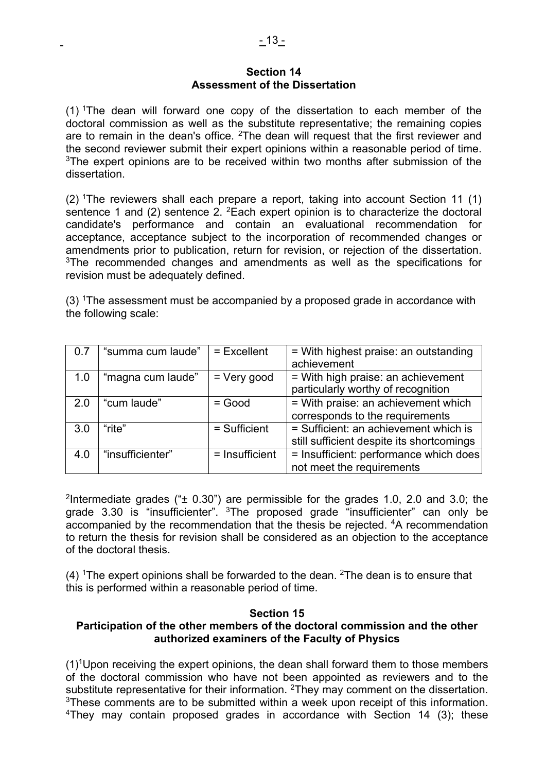#### **Section 14 Assessment of the Dissertation**

(1) 1The dean will forward one copy of the dissertation to each member of the doctoral commission as well as the substitute representative; the remaining copies are to remain in the dean's office.  $2$ The dean will request that the first reviewer and the second reviewer submit their expert opinions within a reasonable period of time. <sup>3</sup>The expert opinions are to be received within two months after submission of the dissertation.

(2) 1The reviewers shall each prepare a report, taking into account Section 11 (1) sentence 1 and (2) sentence 2.  ${}^{2}$ Each expert opinion is to characterize the doctoral candidate's performance and contain an evaluational recommendation for acceptance, acceptance subject to the incorporation of recommended changes or amendments prior to publication, return for revision, or rejection of the dissertation. <sup>3</sup>The recommended changes and amendments as well as the specifications for revision must be adequately defined.

(3) 1The assessment must be accompanied by a proposed grade in accordance with the following scale:

| 0.7 | "summa cum laude" | $=$ Excellent    | = With highest praise: an outstanding<br>achievement                               |
|-----|-------------------|------------------|------------------------------------------------------------------------------------|
| 1.0 | "magna cum laude" | $=$ Very good    | = With high praise: an achievement<br>particularly worthy of recognition           |
| 2.0 | "cum laude"       | $=$ Good         | = With praise: an achievement which<br>corresponds to the requirements             |
| 3.0 | "rite"            | $=$ Sufficient   | = Sufficient: an achievement which is<br>still sufficient despite its shortcomings |
| 4.0 | "insufficienter"  | $=$ Insufficient | = Insufficient: performance which does<br>not meet the requirements                |

<sup>2</sup>Intermediate grades (" $\pm$  0.30") are permissible for the grades 1.0, 2.0 and 3.0; the grade 3.30 is "insufficienter". <sup>3</sup>The proposed grade "insufficienter" can only be accompanied by the recommendation that the thesis be rejected. 4A recommendation to return the thesis for revision shall be considered as an objection to the acceptance of the doctoral thesis.

(4)  $\text{1}$ The expert opinions shall be forwarded to the dean.  $\text{2}$ The dean is to ensure that this is performed within a reasonable period of time.

### **Section 15**

# **Participation of the other members of the doctoral commission and the other authorized examiners of the Faculty of Physics**

 $(1)^1$ Upon receiving the expert opinions, the dean shall forward them to those members of the doctoral commission who have not been appointed as reviewers and to the substitute representative for their information. <sup>2</sup>They may comment on the dissertation. <sup>3</sup>These comments are to be submitted within a week upon receipt of this information. 4They may contain proposed grades in accordance with Section 14 (3); these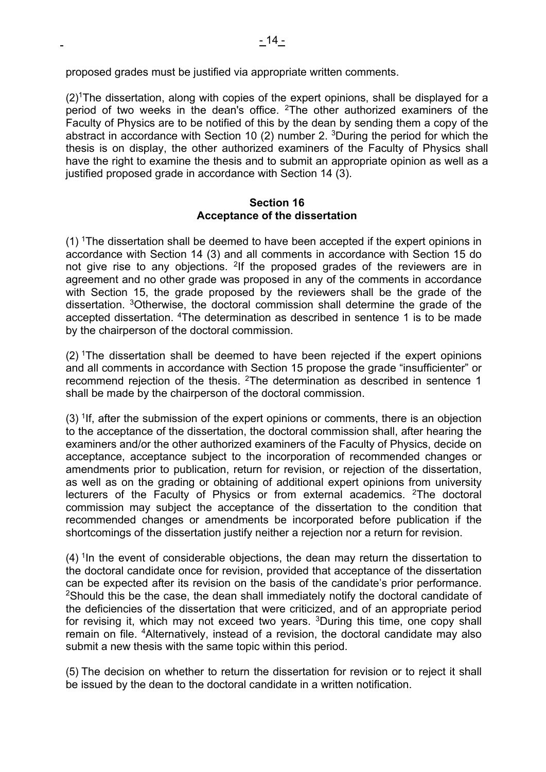$(2)$ <sup>1</sup>The dissertation, along with copies of the expert opinions, shall be displayed for a period of two weeks in the dean's office.  $2$ The other authorized examiners of the Faculty of Physics are to be notified of this by the dean by sending them a copy of the abstract in accordance with Section 10 (2) number 2. 3During the period for which the thesis is on display, the other authorized examiners of the Faculty of Physics shall have the right to examine the thesis and to submit an appropriate opinion as well as a justified proposed grade in accordance with Section 14 (3).

#### **Section 16 Acceptance of the dissertation**

 $(1)$  The dissertation shall be deemed to have been accepted if the expert opinions in accordance with Section 14 (3) and all comments in accordance with Section 15 do not give rise to any objections. <sup>2</sup>If the proposed grades of the reviewers are in agreement and no other grade was proposed in any of the comments in accordance with Section 15, the grade proposed by the reviewers shall be the grade of the dissertation. 3Otherwise, the doctoral commission shall determine the grade of the accepted dissertation. 4The determination as described in sentence 1 is to be made by the chairperson of the doctoral commission.

 $(2)$  The dissertation shall be deemed to have been rejected if the expert opinions and all comments in accordance with Section 15 propose the grade "insufficienter" or recommend rejection of the thesis. 2The determination as described in sentence 1 shall be made by the chairperson of the doctoral commission.

 $(3)$  <sup>1</sup>If, after the submission of the expert opinions or comments, there is an objection to the acceptance of the dissertation, the doctoral commission shall, after hearing the examiners and/or the other authorized examiners of the Faculty of Physics, decide on acceptance, acceptance subject to the incorporation of recommended changes or amendments prior to publication, return for revision, or rejection of the dissertation, as well as on the grading or obtaining of additional expert opinions from university lecturers of the Faculty of Physics or from external academics. <sup>2</sup>The doctoral commission may subject the acceptance of the dissertation to the condition that recommended changes or amendments be incorporated before publication if the shortcomings of the dissertation justify neither a rejection nor a return for revision.

 $(4)$  <sup>1</sup>In the event of considerable objections, the dean may return the dissertation to the doctoral candidate once for revision, provided that acceptance of the dissertation can be expected after its revision on the basis of the candidate's prior performance. <sup>2</sup>Should this be the case, the dean shall immediately notify the doctoral candidate of the deficiencies of the dissertation that were criticized, and of an appropriate period for revising it, which may not exceed two years.  $3$ During this time, one copy shall remain on file. 4Alternatively, instead of a revision, the doctoral candidate may also submit a new thesis with the same topic within this period.

(5) The decision on whether to return the dissertation for revision or to reject it shall be issued by the dean to the doctoral candidate in a written notification.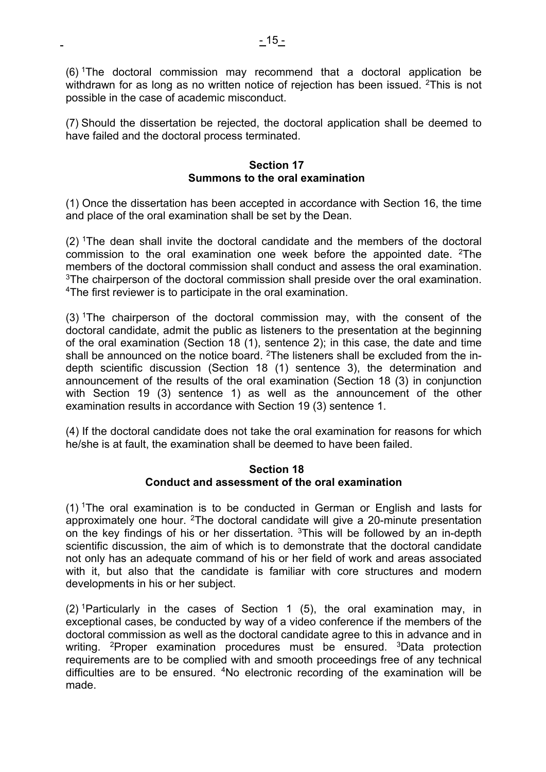(6) 1The doctoral commission may recommend that a doctoral application be withdrawn for as long as no written notice of rejection has been issued. <sup>2</sup>This is not possible in the case of academic misconduct.

(7) Should the dissertation be rejected, the doctoral application shall be deemed to have failed and the doctoral process terminated.

### **Section 17 Summons to the oral examination**

(1) Once the dissertation has been accepted in accordance with Section 16, the time and place of the oral examination shall be set by the Dean.

 $(2)$  The dean shall invite the doctoral candidate and the members of the doctoral commission to the oral examination one week before the appointed date.  $2$ The members of the doctoral commission shall conduct and assess the oral examination. <sup>3</sup>The chairperson of the doctoral commission shall preside over the oral examination. 4The first reviewer is to participate in the oral examination.

 $(3)$  <sup>1</sup>The chairperson of the doctoral commission may, with the consent of the doctoral candidate, admit the public as listeners to the presentation at the beginning of the oral examination (Section 18 (1), sentence 2); in this case, the date and time shall be announced on the notice board. <sup>2</sup>The listeners shall be excluded from the indepth scientific discussion (Section 18 (1) sentence 3), the determination and announcement of the results of the oral examination (Section 18 (3) in conjunction with Section 19 (3) sentence 1) as well as the announcement of the other examination results in accordance with Section 19 (3) sentence 1.

(4) If the doctoral candidate does not take the oral examination for reasons for which he/she is at fault, the examination shall be deemed to have been failed.

### **Section 18 Conduct and assessment of the oral examination**

(1) 1The oral examination is to be conducted in German or English and lasts for approximately one hour. <sup>2</sup>The doctoral candidate will give a 20-minute presentation on the key findings of his or her dissertation.  $3$ This will be followed by an in-depth scientific discussion, the aim of which is to demonstrate that the doctoral candidate not only has an adequate command of his or her field of work and areas associated with it, but also that the candidate is familiar with core structures and modern developments in his or her subject.

 $(2)$  <sup>1</sup>Particularly in the cases of Section 1 (5), the oral examination may, in exceptional cases, be conducted by way of a video conference if the members of the doctoral commission as well as the doctoral candidate agree to this in advance and in writing. <sup>2</sup>Proper examination procedures must be ensured. <sup>3</sup>Data protection requirements are to be complied with and smooth proceedings free of any technical difficulties are to be ensured. 4No electronic recording of the examination will be made.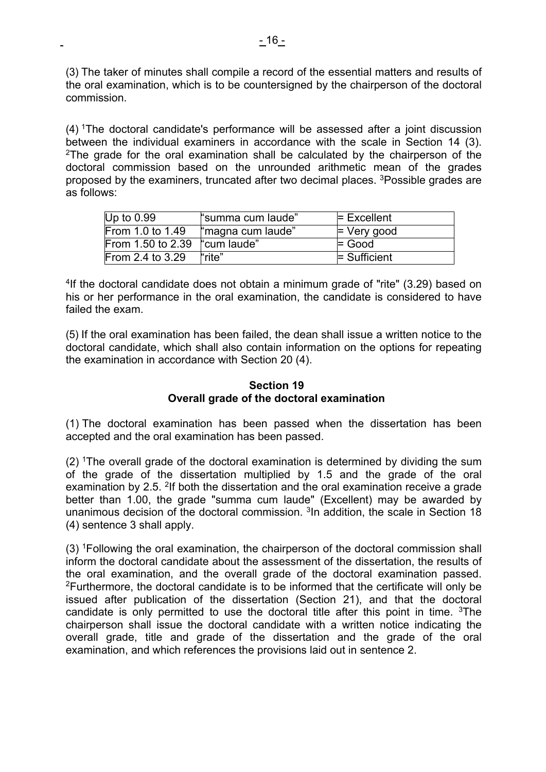(3) The taker of minutes shall compile a record of the essential matters and results of the oral examination, which is to be countersigned by the chairperson of the doctoral commission.

(4) 1The doctoral candidate's performance will be assessed after a joint discussion between the individual examiners in accordance with the scale in Section 14 (3). <sup>2</sup>The grade for the oral examination shall be calculated by the chairperson of the doctoral commission based on the unrounded arithmetic mean of the grades proposed by the examiners, truncated after two decimal places. 3Possible grades are as follows:

| Up to $0.99$                  | "summa cum laude" | $=$ Excellent       |
|-------------------------------|-------------------|---------------------|
| From 1.0 to 1.49              | "magna cum laude" | $\models$ Very good |
| From 1.50 to 2.39 "cum laude" |                   | $=$ Good            |
| From 2.4 to 3.29              | "rite"            | $\equiv$ Sufficient |

4If the doctoral candidate does not obtain a minimum grade of "rite" (3.29) based on his or her performance in the oral examination, the candidate is considered to have failed the exam.

(5) If the oral examination has been failed, the dean shall issue a written notice to the doctoral candidate, which shall also contain information on the options for repeating the examination in accordance with Section 20 (4).

### **Section 19 Overall grade of the doctoral examination**

(1) The doctoral examination has been passed when the dissertation has been accepted and the oral examination has been passed.

(2) 1The overall grade of the doctoral examination is determined by dividing the sum of the grade of the dissertation multiplied by 1.5 and the grade of the oral examination by 2.5. 2If both the dissertation and the oral examination receive a grade better than 1.00, the grade "summa cum laude" (Excellent) may be awarded by unanimous decision of the doctoral commission.  $3$ In addition, the scale in Section 18 (4) sentence 3 shall apply.

(3) 1Following the oral examination, the chairperson of the doctoral commission shall inform the doctoral candidate about the assessment of the dissertation, the results of the oral examination, and the overall grade of the doctoral examination passed. <sup>2</sup>Furthermore, the doctoral candidate is to be informed that the certificate will only be issued after publication of the dissertation (Section 21), and that the doctoral candidate is only permitted to use the doctoral title after this point in time. 3The chairperson shall issue the doctoral candidate with a written notice indicating the overall grade, title and grade of the dissertation and the grade of the oral examination, and which references the provisions laid out in sentence 2.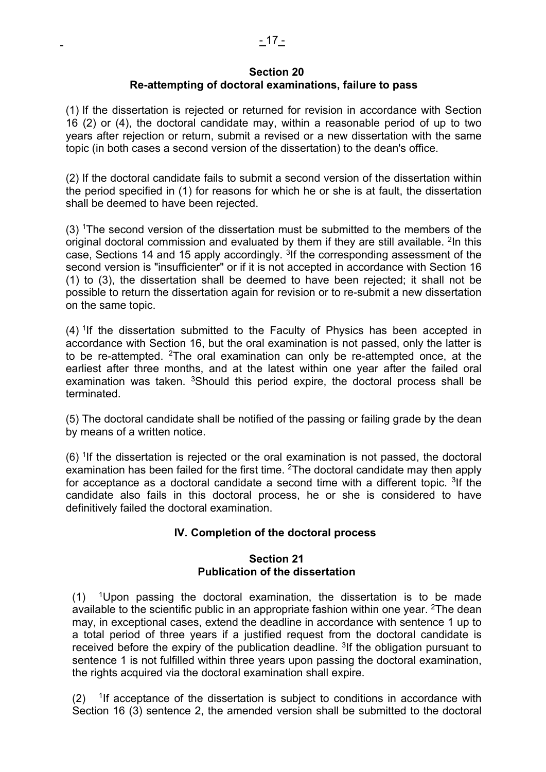### **Section 20 Re-attempting of doctoral examinations, failure to pass**

(1) If the dissertation is rejected or returned for revision in accordance with Section 16 (2) or (4), the doctoral candidate may, within a reasonable period of up to two years after rejection or return, submit a revised or a new dissertation with the same topic (in both cases a second version of the dissertation) to the dean's office.

(2) If the doctoral candidate fails to submit a second version of the dissertation within the period specified in (1) for reasons for which he or she is at fault, the dissertation shall be deemed to have been rejected.

(3) 1The second version of the dissertation must be submitted to the members of the original doctoral commission and evaluated by them if they are still available.  $2\ln$  this case, Sections 14 and 15 apply accordingly. 3If the corresponding assessment of the second version is "insufficienter" or if it is not accepted in accordance with Section 16 (1) to (3), the dissertation shall be deemed to have been rejected; it shall not be possible to return the dissertation again for revision or to re-submit a new dissertation on the same topic.

 $(4)$ <sup>1</sup>If the dissertation submitted to the Faculty of Physics has been accepted in accordance with Section 16, but the oral examination is not passed, only the latter is to be re-attempted. 2The oral examination can only be re-attempted once, at the earliest after three months, and at the latest within one year after the failed oral examination was taken.  $3$ Should this period expire, the doctoral process shall be terminated.

(5) The doctoral candidate shall be notified of the passing or failing grade by the dean by means of a written notice.

 $(6)$  <sup>1</sup>If the dissertation is rejected or the oral examination is not passed, the doctoral examination has been failed for the first time. <sup>2</sup>The doctoral candidate may then apply for acceptance as a doctoral candidate a second time with a different topic. <sup>3</sup>If the candidate also fails in this doctoral process, he or she is considered to have definitively failed the doctoral examination.

# **IV. Completion of the doctoral process**

### **Section 21 Publication of the dissertation**

 $(1)$  <sup>1</sup>Upon passing the doctoral examination, the dissertation is to be made available to the scientific public in an appropriate fashion within one year. <sup>2</sup>The dean may, in exceptional cases, extend the deadline in accordance with sentence 1 up to a total period of three years if a justified request from the doctoral candidate is received before the expiry of the publication deadline. <sup>3</sup>If the obligation pursuant to sentence 1 is not fulfilled within three years upon passing the doctoral examination, the rights acquired via the doctoral examination shall expire.

 $(2)$  <sup>1</sup>If acceptance of the dissertation is subject to conditions in accordance with Section 16 (3) sentence 2, the amended version shall be submitted to the doctoral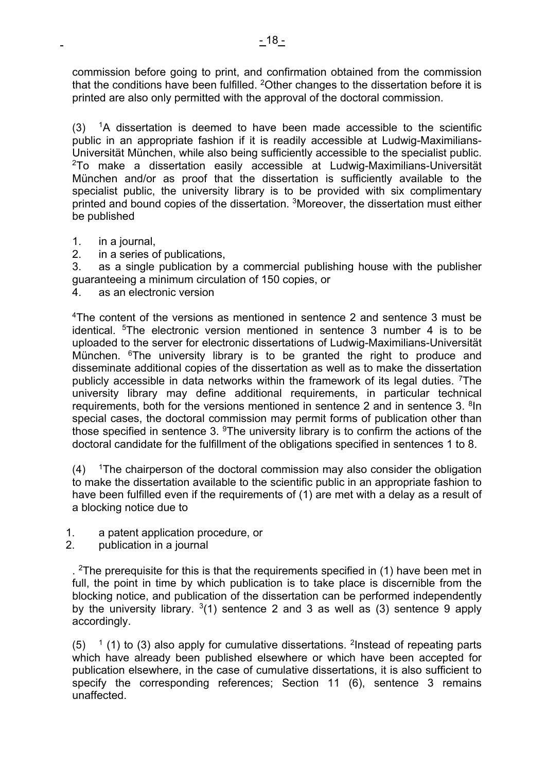commission before going to print, and confirmation obtained from the commission that the conditions have been fulfilled. <sup>2</sup>Other changes to the dissertation before it is printed are also only permitted with the approval of the doctoral commission.

 $(3)$  <sup>1</sup>A dissertation is deemed to have been made accessible to the scientific public in an appropriate fashion if it is readily accessible at Ludwig-Maximilians-Universität München, while also being sufficiently accessible to the specialist public. 2To make a dissertation easily accessible at Ludwig-Maximilians-Universität München and/or as proof that the dissertation is sufficiently available to the specialist public, the university library is to be provided with six complimentary printed and bound copies of the dissertation. 3Moreover, the dissertation must either be published

- 1. in a journal,
- 2. in a series of publications,

3. as a single publication by a commercial publishing house with the publisher guaranteeing a minimum circulation of 150 copies, or

4. as an electronic version

4The content of the versions as mentioned in sentence 2 and sentence 3 must be identical. 5The electronic version mentioned in sentence 3 number 4 is to be uploaded to the server for electronic dissertations of Ludwig-Maximilians-Universität München. <sup>6</sup>The university library is to be granted the right to produce and disseminate additional copies of the dissertation as well as to make the dissertation publicly accessible in data networks within the framework of its legal duties. <sup>7</sup>The university library may define additional requirements, in particular technical requirements, both for the versions mentioned in sentence 2 and in sentence 3. <sup>8</sup>In special cases, the doctoral commission may permit forms of publication other than those specified in sentence 3. 9The university library is to confirm the actions of the doctoral candidate for the fulfillment of the obligations specified in sentences 1 to 8.

 $(4)$  <sup>1</sup>The chairperson of the doctoral commission may also consider the obligation to make the dissertation available to the scientific public in an appropriate fashion to have been fulfilled even if the requirements of (1) are met with a delay as a result of a blocking notice due to

- 1. a patent application procedure, or
- 2. publication in a journal

. <sup>2</sup>The prerequisite for this is that the requirements specified in (1) have been met in full, the point in time by which publication is to take place is discernible from the blocking notice, and publication of the dissertation can be performed independently by the university library.  $3(1)$  sentence 2 and 3 as well as (3) sentence 9 apply accordingly.

 $(5)$  <sup>1</sup> (1) to (3) also apply for cumulative dissertations. <sup>2</sup>Instead of repeating parts which have already been published elsewhere or which have been accepted for publication elsewhere, in the case of cumulative dissertations, it is also sufficient to specify the corresponding references; Section 11 (6), sentence 3 remains unaffected.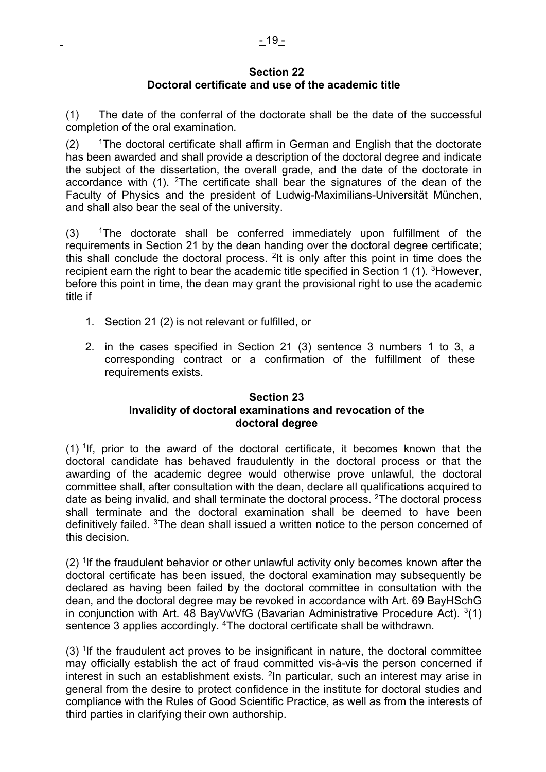#### **Section 22 Doctoral certificate and use of the academic title**

(1) The date of the conferral of the doctorate shall be the date of the successful completion of the oral examination.

 $(2)$  <sup>1</sup>The doctoral certificate shall affirm in German and English that the doctorate has been awarded and shall provide a description of the doctoral degree and indicate the subject of the dissertation, the overall grade, and the date of the doctorate in accordance with  $(1)$ . <sup>2</sup>The certificate shall bear the signatures of the dean of the Faculty of Physics and the president of Ludwig-Maximilians-Universität München, and shall also bear the seal of the university.

 $(3)$  <sup>1</sup>The doctorate shall be conferred immediately upon fulfillment of the requirements in Section 21 by the dean handing over the doctoral degree certificate; this shall conclude the doctoral process. <sup>2</sup>It is only after this point in time does the recipient earn the right to bear the academic title specified in Section 1 (1). <sup>3</sup>However, before this point in time, the dean may grant the provisional right to use the academic title if

- 1. Section 21 (2) is not relevant or fulfilled, or
- 2. in the cases specified in Section 21 (3) sentence 3 numbers 1 to 3, a corresponding contract or a confirmation of the fulfillment of these requirements exists.

# **Section 23 Invalidity of doctoral examinations and revocation of the doctoral degree**

 $(1)$  <sup>1</sup>If, prior to the award of the doctoral certificate, it becomes known that the doctoral candidate has behaved fraudulently in the doctoral process or that the awarding of the academic degree would otherwise prove unlawful, the doctoral committee shall, after consultation with the dean, declare all qualifications acquired to date as being invalid, and shall terminate the doctoral process. <sup>2</sup>The doctoral process shall terminate and the doctoral examination shall be deemed to have been definitively failed. <sup>3</sup>The dean shall issued a written notice to the person concerned of this decision.

 $(2)$  <sup>1</sup>If the fraudulent behavior or other unlawful activity only becomes known after the doctoral certificate has been issued, the doctoral examination may subsequently be declared as having been failed by the doctoral committee in consultation with the dean, and the doctoral degree may be revoked in accordance with Art. 69 BayHSchG in conjunction with Art. 48 BayVwVfG (Bavarian Administrative Procedure Act).  $3(1)$ sentence 3 applies accordingly. 4The doctoral certificate shall be withdrawn.

 $(3)$  <sup>1</sup>If the fraudulent act proves to be insignificant in nature, the doctoral committee may officially establish the act of fraud committed vis-à-vis the person concerned if interest in such an establishment exists.  $2\text{ln}$  particular, such an interest may arise in general from the desire to protect confidence in the institute for doctoral studies and compliance with the Rules of Good Scientific Practice, as well as from the interests of third parties in clarifying their own authorship.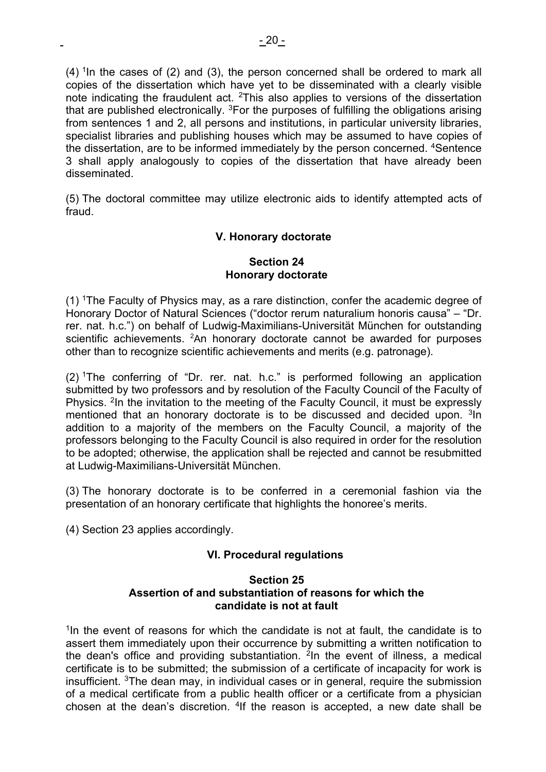$(4)$ <sup>1</sup>In the cases of (2) and (3), the person concerned shall be ordered to mark all copies of the dissertation which have yet to be disseminated with a clearly visible note indicating the fraudulent act. 2This also applies to versions of the dissertation that are published electronically.  ${}^{3}$ For the purposes of fulfilling the obligations arising from sentences 1 and 2, all persons and institutions, in particular university libraries, specialist libraries and publishing houses which may be assumed to have copies of the dissertation, are to be informed immediately by the person concerned. 4Sentence 3 shall apply analogously to copies of the dissertation that have already been disseminated.

(5) The doctoral committee may utilize electronic aids to identify attempted acts of fraud.

# **V. Honorary doctorate**

### **Section 24 Honorary doctorate**

(1) 1The Faculty of Physics may, as a rare distinction, confer the academic degree of Honorary Doctor of Natural Sciences ("doctor rerum naturalium honoris causa" – "Dr. rer. nat. h.c.") on behalf of Ludwig-Maximilians-Universität München for outstanding scientific achievements.  $2$ An honorary doctorate cannot be awarded for purposes other than to recognize scientific achievements and merits (e.g. patronage).

 $(2)$  <sup>1</sup>The conferring of "Dr. rer. nat. h.c." is performed following an application submitted by two professors and by resolution of the Faculty Council of the Faculty of Physics. <sup>2</sup>In the invitation to the meeting of the Faculty Council, it must be expressly mentioned that an honorary doctorate is to be discussed and decided upon. 3In addition to a majority of the members on the Faculty Council, a majority of the professors belonging to the Faculty Council is also required in order for the resolution to be adopted; otherwise, the application shall be rejected and cannot be resubmitted at Ludwig-Maximilians-Universität München.

(3) The honorary doctorate is to be conferred in a ceremonial fashion via the presentation of an honorary certificate that highlights the honoree's merits.

(4) Section 23 applies accordingly.

# **VI. Procedural regulations**

#### **Section 25 Assertion of and substantiation of reasons for which the candidate is not at fault**

 $1$ In the event of reasons for which the candidate is not at fault, the candidate is to assert them immediately upon their occurrence by submitting a written notification to the dean's office and providing substantiation.  $2\text{ln}$  the event of illness, a medical certificate is to be submitted; the submission of a certificate of incapacity for work is insufficient. 3The dean may, in individual cases or in general, require the submission of a medical certificate from a public health officer or a certificate from a physician chosen at the dean's discretion. <sup>4</sup>If the reason is accepted, a new date shall be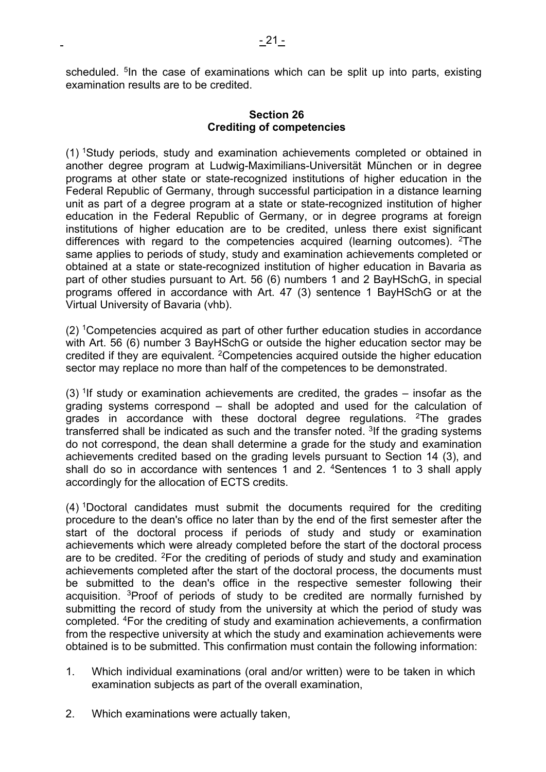scheduled. <sup>5</sup>In the case of examinations which can be split up into parts, existing examination results are to be credited.

### **Section 26 Crediting of competencies**

(1) 1Study periods, study and examination achievements completed or obtained in another degree program at Ludwig-Maximilians-Universität München or in degree programs at other state or state-recognized institutions of higher education in the Federal Republic of Germany, through successful participation in a distance learning unit as part of a degree program at a state or state-recognized institution of higher education in the Federal Republic of Germany, or in degree programs at foreign institutions of higher education are to be credited, unless there exist significant differences with regard to the competencies acquired (learning outcomes). <sup>2</sup>The same applies to periods of study, study and examination achievements completed or obtained at a state or state-recognized institution of higher education in Bavaria as part of other studies pursuant to Art. 56 (6) numbers 1 and 2 BayHSchG, in special programs offered in accordance with Art. 47 (3) sentence 1 BayHSchG or at the Virtual University of Bavaria (vhb).

(2) 1Competencies acquired as part of other further education studies in accordance with Art. 56 (6) number 3 BayHSchG or outside the higher education sector may be credited if they are equivalent. 2Competencies acquired outside the higher education sector may replace no more than half of the competences to be demonstrated.

 $(3)$  <sup>1</sup>If study or examination achievements are credited, the grades – insofar as the grading systems correspond – shall be adopted and used for the calculation of grades in accordance with these doctoral degree regulations. 2The grades transferred shall be indicated as such and the transfer noted.  $3$ If the grading systems do not correspond, the dean shall determine a grade for the study and examination achievements credited based on the grading levels pursuant to Section 14 (3), and shall do so in accordance with sentences 1 and 2. <sup>4</sup>Sentences 1 to 3 shall apply accordingly for the allocation of ECTS credits.

(4) 1Doctoral candidates must submit the documents required for the crediting procedure to the dean's office no later than by the end of the first semester after the start of the doctoral process if periods of study and study or examination achievements which were already completed before the start of the doctoral process are to be credited. 2For the crediting of periods of study and study and examination achievements completed after the start of the doctoral process, the documents must be submitted to the dean's office in the respective semester following their acquisition. 3Proof of periods of study to be credited are normally furnished by submitting the record of study from the university at which the period of study was completed. 4For the crediting of study and examination achievements, a confirmation from the respective university at which the study and examination achievements were obtained is to be submitted. This confirmation must contain the following information:

- 1. Which individual examinations (oral and/or written) were to be taken in which examination subjects as part of the overall examination,
- 2. Which examinations were actually taken,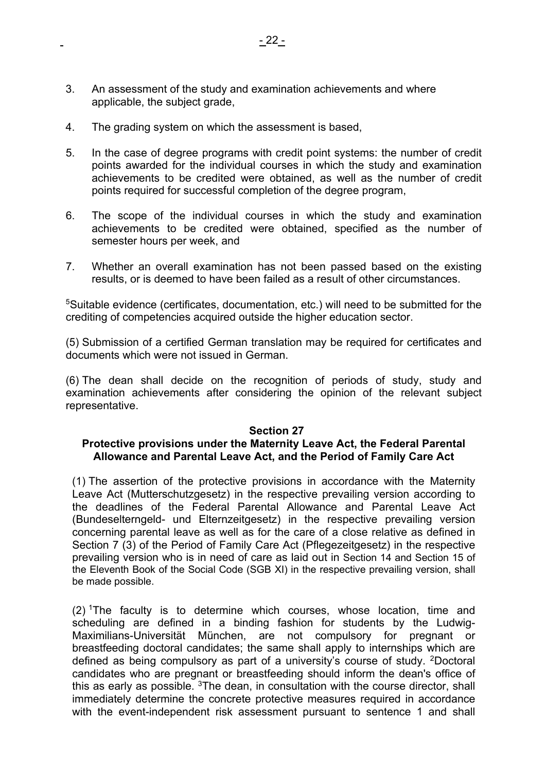- 3. An assessment of the study and examination achievements and where applicable, the subject grade,
- 4. The grading system on which the assessment is based,
- 5. In the case of degree programs with credit point systems: the number of credit points awarded for the individual courses in which the study and examination achievements to be credited were obtained, as well as the number of credit points required for successful completion of the degree program,
- 6. The scope of the individual courses in which the study and examination achievements to be credited were obtained, specified as the number of semester hours per week, and
- 7. Whether an overall examination has not been passed based on the existing results, or is deemed to have been failed as a result of other circumstances.

5Suitable evidence (certificates, documentation, etc.) will need to be submitted for the crediting of competencies acquired outside the higher education sector.

(5) Submission of a certified German translation may be required for certificates and documents which were not issued in German.

(6) The dean shall decide on the recognition of periods of study, study and examination achievements after considering the opinion of the relevant subject representative.

#### **Section 27**

### **Protective provisions under the Maternity Leave Act, the Federal Parental Allowance and Parental Leave Act, and the Period of Family Care Act**

(1) The assertion of the protective provisions in accordance with the Maternity Leave Act (Mutterschutzgesetz) in the respective prevailing version according to the deadlines of the Federal Parental Allowance and Parental Leave Act (Bundeselterngeld- und Elternzeitgesetz) in the respective prevailing version concerning parental leave as well as for the care of a close relative as defined in Section 7 (3) of the Period of Family Care Act (Pflegezeitgesetz) in the respective prevailing version who is in need of care as laid out in Section 14 and Section 15 of the Eleventh Book of the Social Code (SGB XI) in the respective prevailing version, shall be made possible.

 $(2)$  The faculty is to determine which courses, whose location, time and scheduling are defined in a binding fashion for students by the Ludwig-Maximilians-Universität München, are not compulsory for pregnant or breastfeeding doctoral candidates; the same shall apply to internships which are defined as being compulsory as part of a university's course of study. 2Doctoral candidates who are pregnant or breastfeeding should inform the dean's office of this as early as possible.  $3$ The dean, in consultation with the course director, shall immediately determine the concrete protective measures required in accordance with the event-independent risk assessment pursuant to sentence 1 and shall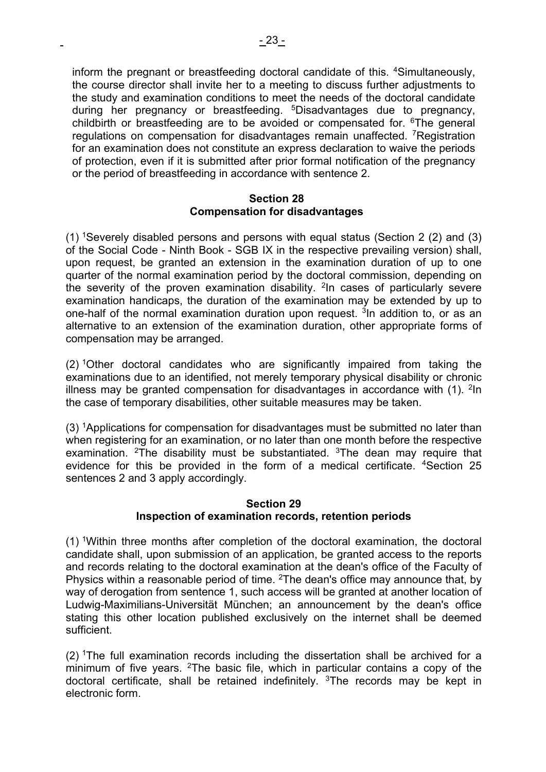inform the pregnant or breastfeeding doctoral candidate of this. <sup>4</sup>Simultaneously, the course director shall invite her to a meeting to discuss further adjustments to the study and examination conditions to meet the needs of the doctoral candidate during her pregnancy or breastfeeding. <sup>5</sup>Disadvantages due to pregnancy, childbirth or breastfeeding are to be avoided or compensated for. 6The general regulations on compensation for disadvantages remain unaffected. <sup>7</sup>Registration for an examination does not constitute an express declaration to waive the periods of protection, even if it is submitted after prior formal notification of the pregnancy or the period of breastfeeding in accordance with sentence 2.

#### **Section 28 Compensation for disadvantages**

(1) 1Severely disabled persons and persons with equal status (Section 2 (2) and (3) of the Social Code - Ninth Book - SGB IX in the respective prevailing version) shall, upon request, be granted an extension in the examination duration of up to one quarter of the normal examination period by the doctoral commission, depending on the severity of the proven examination disability. <sup>2</sup>In cases of particularly severe examination handicaps, the duration of the examination may be extended by up to one-half of the normal examination duration upon request. <sup>3</sup>In addition to, or as an alternative to an extension of the examination duration, other appropriate forms of compensation may be arranged.

(2) 1Other doctoral candidates who are significantly impaired from taking the examinations due to an identified, not merely temporary physical disability or chronic illness may be granted compensation for disadvantages in accordance with  $(1)$ . <sup>2</sup>In the case of temporary disabilities, other suitable measures may be taken.

(3) 1Applications for compensation for disadvantages must be submitted no later than when registering for an examination, or no later than one month before the respective examination. <sup>2</sup>The disability must be substantiated.  $3$ The dean may require that evidence for this be provided in the form of a medical certificate. <sup>4</sup>Section 25 sentences 2 and 3 apply accordingly.

### **Section 29 Inspection of examination records, retention periods**

(1) 1Within three months after completion of the doctoral examination, the doctoral candidate shall, upon submission of an application, be granted access to the reports and records relating to the doctoral examination at the dean's office of the Faculty of Physics within a reasonable period of time. <sup>2</sup>The dean's office may announce that, by way of derogation from sentence 1, such access will be granted at another location of Ludwig-Maximilians-Universität München; an announcement by the dean's office stating this other location published exclusively on the internet shall be deemed sufficient.

 $(2)$  <sup>1</sup>The full examination records including the dissertation shall be archived for a minimum of five years. <sup>2</sup>The basic file, which in particular contains a copy of the doctoral certificate, shall be retained indefinitely.  $3$ The records may be kept in electronic form.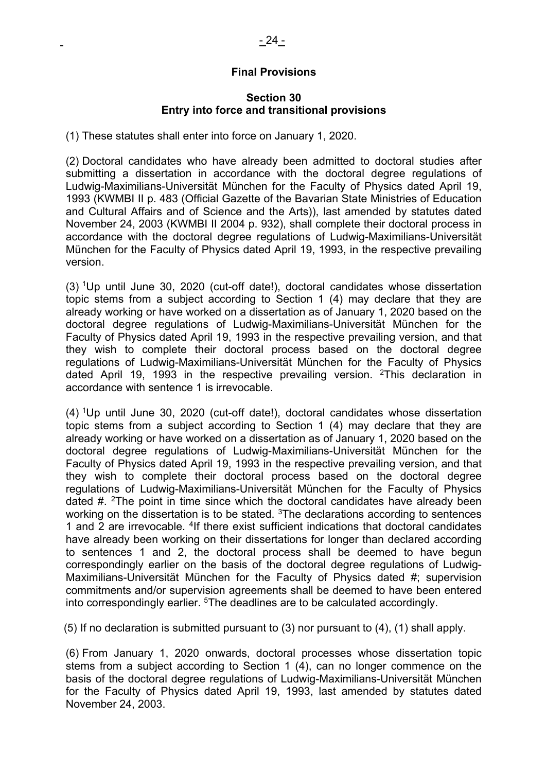## **Final Provisions**

#### **Section 30 Entry into force and transitional provisions**

(1) These statutes shall enter into force on January 1, 2020.

(2) Doctoral candidates who have already been admitted to doctoral studies after submitting a dissertation in accordance with the doctoral degree regulations of Ludwig-Maximilians-Universität München for the Faculty of Physics dated April 19, 1993 (KWMBI II p. 483 (Official Gazette of the Bavarian State Ministries of Education and Cultural Affairs and of Science and the Arts)), last amended by statutes dated November 24, 2003 (KWMBI II 2004 p. 932), shall complete their doctoral process in accordance with the doctoral degree regulations of Ludwig-Maximilians-Universität München for the Faculty of Physics dated April 19, 1993, in the respective prevailing version.

(3) 1Up until June 30, 2020 (cut-off date!), doctoral candidates whose dissertation topic stems from a subject according to Section 1 (4) may declare that they are already working or have worked on a dissertation as of January 1, 2020 based on the doctoral degree regulations of Ludwig-Maximilians-Universität München for the Faculty of Physics dated April 19, 1993 in the respective prevailing version, and that they wish to complete their doctoral process based on the doctoral degree regulations of Ludwig-Maximilians-Universität München for the Faculty of Physics dated April 19, 1993 in the respective prevailing version. 2This declaration in accordance with sentence 1 is irrevocable.

(4) 1Up until June 30, 2020 (cut-off date!), doctoral candidates whose dissertation topic stems from a subject according to Section 1 (4) may declare that they are already working or have worked on a dissertation as of January 1, 2020 based on the doctoral degree regulations of Ludwig-Maximilians-Universität München for the Faculty of Physics dated April 19, 1993 in the respective prevailing version, and that they wish to complete their doctoral process based on the doctoral degree regulations of Ludwig-Maximilians-Universität München for the Faculty of Physics dated  $\#$ . <sup>2</sup>The point in time since which the doctoral candidates have already been working on the dissertation is to be stated. <sup>3</sup>The declarations according to sentences 1 and 2 are irrevocable. 4If there exist sufficient indications that doctoral candidates have already been working on their dissertations for longer than declared according to sentences 1 and 2, the doctoral process shall be deemed to have begun correspondingly earlier on the basis of the doctoral degree regulations of Ludwig-Maximilians-Universität München for the Faculty of Physics dated #; supervision commitments and/or supervision agreements shall be deemed to have been entered into correspondingly earlier. <sup>5</sup>The deadlines are to be calculated accordingly.

(5) If no declaration is submitted pursuant to (3) nor pursuant to (4), (1) shall apply.

(6) From January 1, 2020 onwards, doctoral processes whose dissertation topic stems from a subject according to Section 1 (4), can no longer commence on the basis of the doctoral degree regulations of Ludwig-Maximilians-Universität München for the Faculty of Physics dated April 19, 1993, last amended by statutes dated November 24, 2003.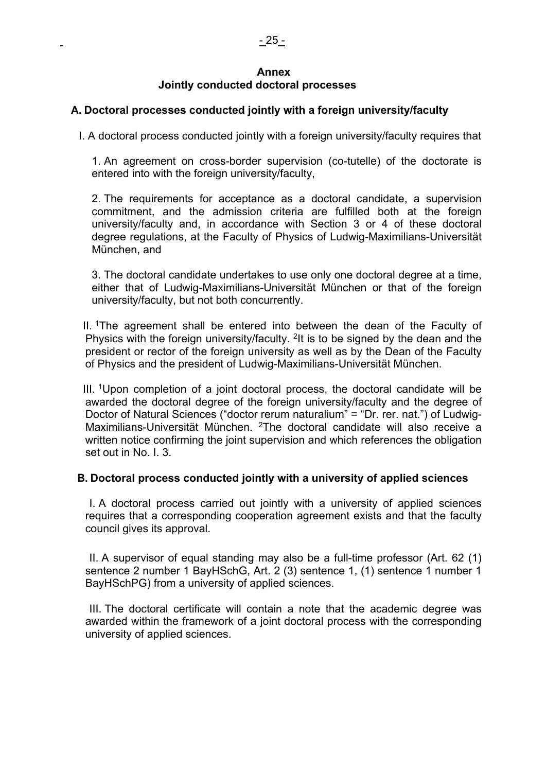#### **Annex Jointly conducted doctoral processes**

# **A. Doctoral processes conducted jointly with a foreign university/faculty**

I. A doctoral process conducted jointly with a foreign university/faculty requires that

1. An agreement on cross-border supervision (co-tutelle) of the doctorate is entered into with the foreign university/faculty,

2. The requirements for acceptance as a doctoral candidate, a supervision commitment, and the admission criteria are fulfilled both at the foreign university/faculty and, in accordance with Section 3 or 4 of these doctoral degree regulations, at the Faculty of Physics of Ludwig-Maximilians-Universität München, and

3. The doctoral candidate undertakes to use only one doctoral degree at a time, either that of Ludwig-Maximilians-Universität München or that of the foreign university/faculty, but not both concurrently.

II. <sup>1</sup>The agreement shall be entered into between the dean of the Faculty of Physics with the foreign university/faculty. <sup>2</sup>It is to be signed by the dean and the president or rector of the foreign university as well as by the Dean of the Faculty of Physics and the president of Ludwig-Maximilians-Universität München.

III. 1Upon completion of a joint doctoral process, the doctoral candidate will be awarded the doctoral degree of the foreign university/faculty and the degree of Doctor of Natural Sciences ("doctor rerum naturalium" = "Dr. rer. nat.") of Ludwig-Maximilians-Universität München. <sup>2</sup>The doctoral candidate will also receive a written notice confirming the joint supervision and which references the obligation set out in No. I. 3.

### **B. Doctoral process conducted jointly with a university of applied sciences**

I. A doctoral process carried out jointly with a university of applied sciences requires that a corresponding cooperation agreement exists and that the faculty council gives its approval.

II. A supervisor of equal standing may also be a full-time professor (Art. 62 (1) sentence 2 number 1 BayHSchG, Art. 2 (3) sentence 1, (1) sentence 1 number 1 BayHSchPG) from a university of applied sciences.

III. The doctoral certificate will contain a note that the academic degree was awarded within the framework of a joint doctoral process with the corresponding university of applied sciences.